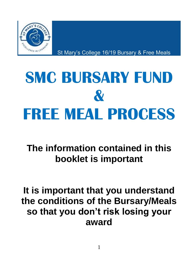

St Mary's College 16/19 Bursary & Free Meals

# **SMC BURSARY FUND & FREE MEAL PROCESS**

**The information contained in this booklet is important**

# **It is important that you understand the conditions of the Bursary/Meals so that you don't risk losing your award**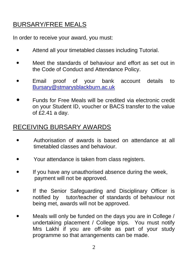### BURSARY/FREE MEALS

In order to receive your award, you must:

- Attend all your timetabled classes including Tutorial.
- Meet the standards of behaviour and effort as set out in the Code of Conduct and Attendance Policy.
- Email proof of your bank account details to [Bursary@stmarysblackburn.ac.uk](mailto:Bursary@stmarysblackburn.ac.uk)
- Funds for Free Meals will be credited via electronic credit on your Student ID, voucher or BACS transfer to the value of £2.41 a day.

### RECEIVING BURSARY AWARDS

- Authorisation of awards is based on attendance at all timetabled classes and behaviour.
- Your attendance is taken from class registers.
- If you have any unauthorised absence during the week, payment will not be approved.
- If the Senior Safeguarding and Disciplinary Officer is notified by tutor/teacher of standards of behaviour not being met, awards will not be approved.
- Meals will only be funded on the days you are in College / undertaking placement / College trips. You must notify Mrs Lakhi if you are off-site as part of your study programme so that arrangements can be made.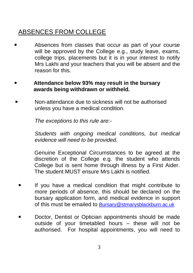# ABSENCES FROM COLLEGE

 Absences from classes that occur as part of your course will be approved by the College e.g., study leave, exams, college trips, placements but it is in your interest to notify Mrs Lakhi and your teachers that you will be absent and the reason for this.

#### **Attendance below 93% may result in the bursary awards being withdrawn or withheld.**

 Non-attendance due to sickness will not be authorised unless you have a medical condition.

*The exceptions to this rule are:-*

*Students with ongoing medical conditions, but medical evidence will need to be provided.*

Genuine Exceptional Circumstances to be agreed at the discretion of the College e.g. the student who attends College but is sent home through illness by a First Aider. The student MUST ensure Mrs Lakhi is notified.

- If you have a medical condition that might contribute to more periods of absence, this should be declared on the bursary application form, and medical evidence in support of this must be emailed to [Bursary@stmarysblackburn.ac.uk](mailto:Bursary@stmarysblackburn.ac.uk)
- Doctor, Dentist or Optician appointments should be made outside of your timetabled hours – these will not be authorised. For hospital appointments, you will need to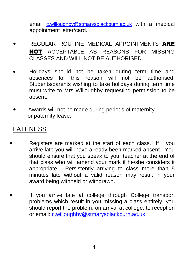email [c.willoughby@stmarysblackburn.ac.uk](mailto:c.willoughby@stmarysblackburn.ac.uk) with a medical appointment letter/card.

- REGULAR ROUTINE MEDICAL APPOINTMENTS ARE NOT ACCEPTABLE AS REASONS FOR MISSING CLASSES AND WILL NOT BE AUTHORISED.
- Holidays should not be taken during term time and absences for this reason will not be authorised. Students/parents wishing to take holidays during term time must write to Mrs Willoughby requesting permission to be absent.
- Awards will not be made during periods of maternity or paternity leave.

#### LATENESS

- Registers are marked at the start of each class. If you arrive late you will have already been marked absent. You should ensure that you speak to your teacher at the end of that class who will amend your mark if he/she considers it appropriate. Persistently arriving to class more than 5 minutes late without a valid reason may result in your award being withheld or withdrawn.
- If you arrive late at college through College transport problems which result in you missing a class entirely, you should report the problem, on arrival at college, to reception or email: [c.willoughby@stmarysblackburn.ac.uk](mailto:c.willoughby@stmarysblackburn.ac.uk)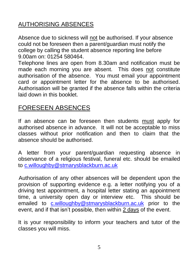#### AUTHORISING ABSENCES

Absence due to sickness will not be authorised. If your absence could not be foreseen then a parent/guardian must notify the college by calling the student absence reporting line before 9.00am on: 01254 580464.

Telephone lines are open from 8.30am and notification must be made each morning you are absent. This does not constitute authorisation of the absence. You must email your appointment card or appointment letter for the absence to be authorised. Authorisation will be granted if the absence falls within the criteria laid down in this booklet.

#### FORESEEN ABSENCES

If an absence can be foreseen then students must apply for authorised absence in advance. It will not be acceptable to miss classes without prior notification and then to claim that the absence should be authorised.

A letter from your parent/guardian requesting absence in observance of a religious festival, funeral etc. should be emailed to [c.willoughby@stmarysblackburn.ac.uk](mailto:c.willoughby@stmarysblackburn.ac.uk)

 Authorisation of any other absences will be dependent upon the provision of supporting evidence e.g. a letter notifying you of a driving test appointment, a hospital letter stating an appointment time, a university open day or interview etc. This should be emailed to [c.willoughby@stmarysblackburn.ac.uk](mailto:c.willoughby@stmarysblackburn.ac.uk) prior to the event, and if that isn't possible, then within 2 days of the event.

It is your responsibility to inform your teachers and tutor of the classes you will miss.